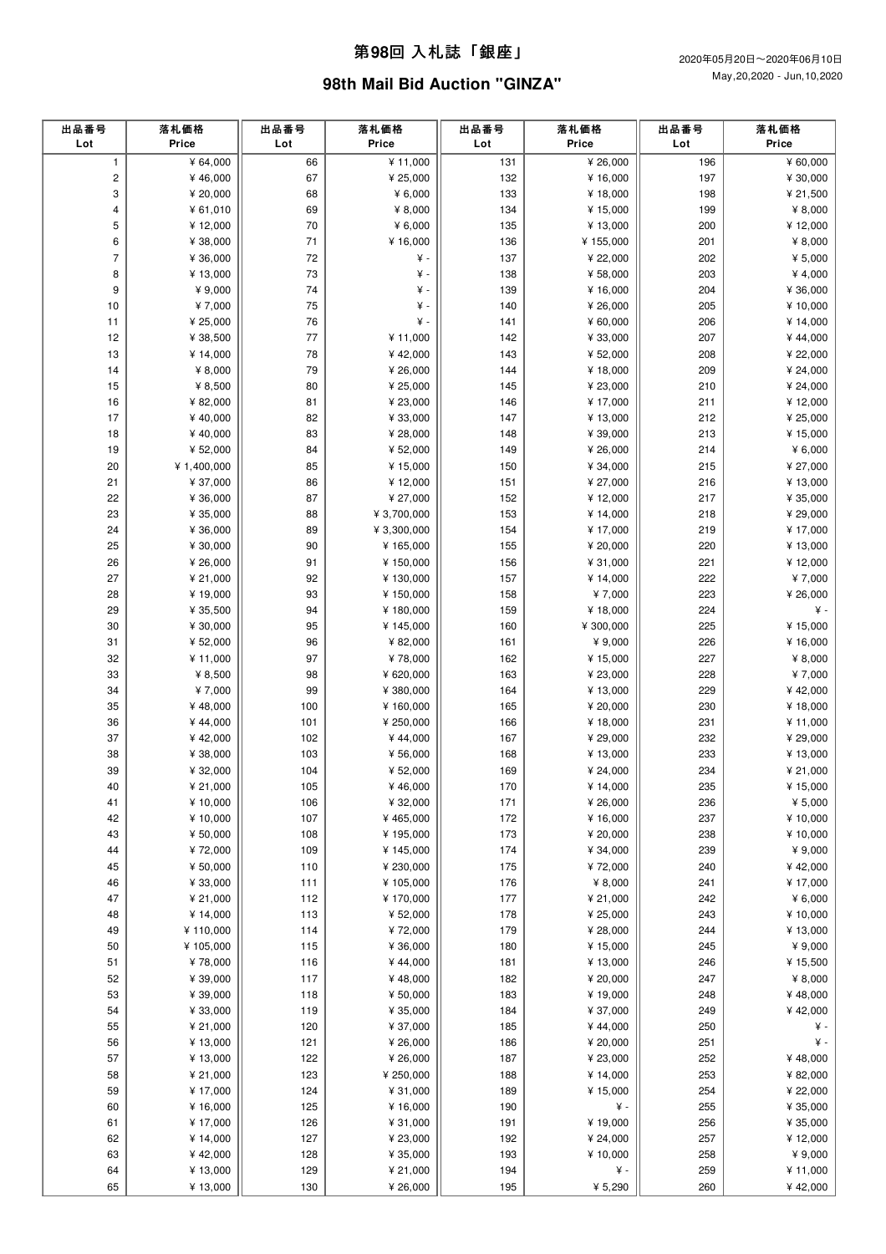#### 第**98**回 ⼊札誌「銀座」

## **98th Mail Bid Auction "GINZA"**

| 出品番号<br>Lot  | 落札価格<br>Price        | 出品番号<br>Lot | 落札価格<br>Price       | 出品番号<br>Lot | 落札価格<br>Price        | 出品番号<br>Lot | 落札価格<br>Price        |
|--------------|----------------------|-------------|---------------------|-------------|----------------------|-------------|----------------------|
| $\mathbf{1}$ | ¥ 64,000             | 66          | ¥ 11,000            | 131         | ¥ 26,000             | 196         | ¥ 60,000             |
| $\mathbf 2$  | ¥46,000              | 67          | ¥ 25,000            | 132         | ¥ 16,000             | 197         | ¥ 30,000             |
| 3            | ¥ 20,000             | 68          | ¥ $6,000$           | 133         | ¥ 18,000             | 198         | ¥ 21,500             |
| 4            | ¥61,010              | 69          | ¥ 8,000             | 134         | ¥ 15,000             | 199         | ¥ $8,000$            |
| 5            | ¥ 12,000             | 70          | ¥ 6,000             | 135         | ¥ 13,000             | 200         | ¥ 12,000             |
| 6            | ¥ 38,000             | $71$        | ¥ 16,000            | 136         | ¥155,000             | 201         | ¥ 8,000              |
| 7            | ¥ 36,000             | 72          | ¥ -                 | 137         | ¥ 22,000             | 202         | ¥ $5,000$            |
| 8            | ¥13,000              | 73          | ¥ -                 | 138         | ¥ 58,000             | 203         | ¥ 4,000              |
| 9            | ¥ 9,000              | 74          | ¥ -                 | 139         | ¥ 16,000             | 204         | ¥ 36,000             |
| 10           | ¥7,000               | 75          | ¥ -                 | 140         | ¥ 26,000             | 205         | ¥ 10,000             |
| 11           | ¥ 25,000             | 76          | ¥                   | 141         | ¥ 60,000             | 206         | ¥ 14,000             |
| 12           | ¥ 38,500             | 77          | ¥ 11,000            | 142         | ¥ 33,000             | 207         | ¥44,000              |
| 13           | ¥ 14,000             | 78          | ¥42,000             | 143         | ¥ 52,000             | 208         | ¥ 22,000             |
| 14           | ¥ $8,000$            | 79          | ¥ 26,000            | 144         | ¥ 18,000             | 209         | ¥ 24,000             |
| 15           | ¥ 8,500              | 80          | ¥ 25,000            | 145         | ¥ 23,000             | 210         | ¥ 24,000             |
| 16           | ¥ 82,000             | 81          | ¥ 23,000            | 146         | ¥ 17,000             | 211         | ¥12,000              |
| 17           | ¥40,000              | 82          | ¥ 33,000            | 147         | ¥ 13,000             | 212         | ¥ 25,000             |
| 18           | ¥40,000              | 83          | ¥ 28,000            | 148         | ¥ 39,000             | 213         | ¥ 15,000             |
| 19           | ¥ 52,000             | 84          | ¥ 52,000            | 149         | ¥ 26,000             | 214         | ¥ $6,000$            |
| 20           | ¥ 1,400,000          | 85          | ¥15,000             | 150         | ¥ 34,000             | 215         | ¥ 27,000             |
| 21           | ¥ 37,000             | 86          | ¥12,000             | 151         | ¥ 27,000             | 216         | ¥ 13,000             |
| 22           | ¥ 36,000             | 87          | ¥ 27,000            | 152         | ¥ 12,000             | 217         | ¥ 35,000             |
| 23           | ¥ 35,000             | 88          | ¥ 3,700,000         | 153         | ¥ 14,000             | 218         | ¥ 29,000             |
| 24           | ¥ 36,000             | 89          | ¥ 3,300,000         | 154         | ¥ 17,000             | 219         | ¥ 17,000             |
| 25           | ¥ 30,000             | 90          | ¥ 165,000           | 155         | ¥ 20,000             | 220         | ¥ 13,000             |
| 26           | ¥ 26,000             | 91          | ¥ 150,000           | 156         | ¥ 31,000             | 221         | ¥12,000              |
| 27           | ¥ 21,000             | 92          | ¥130,000            | 157         | ¥ 14,000             | 222         | ¥7,000               |
| 28           | ¥19,000              | 93          | ¥ 150,000           | 158         | ¥7,000               | 223         | ¥ 26,000             |
| 29           | ¥ 35,500             | 94          | ¥ 180,000           | 159         | ¥ 18,000             | 224         | ¥ -                  |
| 30           | ¥ 30,000             | 95          | ¥ 145,000           | 160         | ¥ 300,000            | 225         | ¥ 15,000             |
| 31           | ¥ 52,000             | 96          | ¥ 82,000            | 161         | ¥ 9,000              | 226         | ¥ 16,000             |
| 32           | ¥11,000              | 97          | ¥78,000             | 162         | ¥ 15,000             | 227         | ¥ $8,000$            |
| 33           | ¥ 8,500              | 98          | ¥ 620,000           | 163         | ¥ 23,000             | 228         | ¥7,000               |
| 34           | ¥7,000               | 99          | ¥ 380,000           | 164         | ¥ 13,000             | 229         | ¥42,000              |
| 35           | ¥48,000              | 100         | ¥ 160,000           | 165         | ¥ 20,000             | 230         | ¥18,000              |
| 36           | ¥44,000              | 101         | ¥ 250,000           | 166         | ¥ 18,000             | 231         | ¥ 11,000             |
| 37           | ¥42,000              | 102         | ¥44,000             | 167         | ¥ 29,000             | 232         | ¥ 29,000             |
| 38           | ¥ 38,000             | 103         | ¥ 56,000            | 168         | ¥ 13,000             | 233         | ¥13,000              |
| 39<br>40     | ¥ 32,000             | 104<br>105  | ¥ 52,000            | 169         | ¥ 24,000<br>¥ 14,000 | 234<br>235  | ¥ 21,000<br>¥ 15,000 |
| 41           | ¥ 21,000<br>¥ 10,000 | 106         | ¥46,000<br>¥ 32,000 | 170<br>171  | ¥ 26,000             | 236         | ¥ $5,000$            |
| 42           | ¥10,000              | 107         | ¥465,000            | 172         | ¥ 16,000             | 237         | ¥10,000              |
| 43           | ¥ 50,000             | 108         | ¥ 195,000           | 173         | ¥ 20,000             | 238         | ¥10,000              |
| 44           | ¥72,000              | 109         | ¥ 145,000           | 174         | ¥ 34,000             | 239         | ¥ 9,000              |
| 45           | ¥ 50,000             | 110         | ¥ 230,000           | 175         | ¥72,000              | 240         | ¥42,000              |
| 46           | ¥ 33,000             | 111         | ¥ 105,000           | 176         | ¥ 8,000              | 241         | ¥ 17,000             |
| 47           | ¥ 21,000             | 112         | ¥ 170,000           | 177         | ¥ 21,000             | 242         | ¥ $6,000$            |
| 48           | ¥ 14,000             | 113         | ¥ 52,000            | 178         | ¥ 25,000             | 243         | ¥10,000              |
| 49           | ¥110,000             | 114         | ¥72,000             | 179         | ¥ 28,000             | 244         | ¥13,000              |
| 50           | ¥105,000             | 115         | ¥ 36,000            | 180         | ¥ 15,000             | 245         | ¥ 9,000              |
| 51           | ¥78,000              | 116         | ¥44,000             | 181         | ¥ 13,000             | 246         | ¥ 15,500             |
| 52           | ¥ 39,000             | 117         | ¥48,000             | 182         | ¥ 20,000             | 247         | ¥ $8,000$            |
| 53           | ¥ 39,000             | 118         | ¥ 50,000            | 183         | ¥ 19,000             | 248         | ¥48,000              |
| 54           | ¥ 33,000             | 119         | ¥ 35,000            | 184         | ¥ 37,000             | 249         | ¥42,000              |
| 55           | ¥ 21,000             | 120         | ¥ 37,000            | 185         | ¥44,000              | 250         | ¥-                   |
| 56           | ¥ 13,000             | 121         | ¥ 26,000            | 186         | ¥ 20,000             | 251         | ¥-                   |
| 57           | ¥13,000              | 122         | ¥ 26,000            | 187         | ¥ 23,000             | 252         | ¥48,000              |
| 58           | ¥ 21,000             | 123         | ¥ 250,000           | 188         | ¥ 14,000             | 253         | ¥ 82,000             |
| 59           | ¥ 17,000             | 124         | ¥ 31,000            | 189         | ¥ 15,000             | 254         | ¥ 22,000             |
| 60           | ¥ 16,000             | 125         | ¥ 16,000            | 190         | ¥ -                  | 255         | ¥ 35,000             |
| 61           | ¥17,000              | 126         | ¥ 31,000            | 191         | ¥ 19,000             | 256         | ¥ 35,000             |
| 62           | ¥ 14,000             | 127         | ¥ 23,000            | 192         | ¥ 24,000             | 257         | ¥12,000              |
| 63           | ¥42,000              | 128         | ¥ 35,000            | 193         | ¥ 10,000             | 258         | ¥ 9,000              |
| 64           | ¥ 13,000             | 129         | ¥ 21,000            | 194         | ¥ -                  | 259         | ¥11,000              |
| 65           | ¥13,000              | 130         | ¥ 26,000            | 195         | ¥ 5,290              | 260         | ¥42,000              |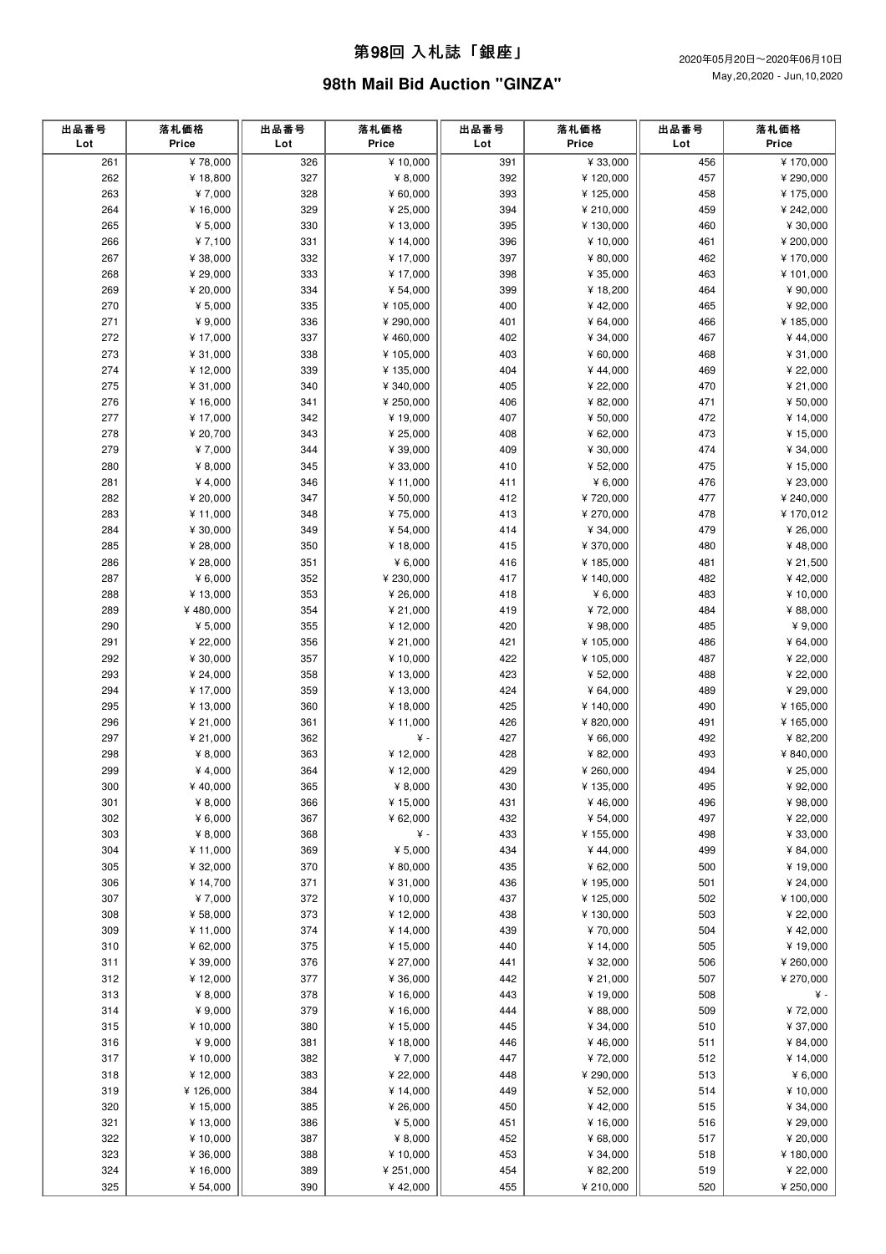### 第**98**回 ⼊札誌「銀座」

# **98th Mail Bid Auction "GINZA"**

|                                                  |                      |            |                      | Lot        | Price                |
|--------------------------------------------------|----------------------|------------|----------------------|------------|----------------------|
| 261<br>¥78,000<br>326                            | ¥ 10,000             | 391        | ¥ 33,000             | 456        | ¥170,000             |
| 327<br>262<br>¥18,800                            | ¥ 8,000              | 392        | ¥120,000             | 457        | ¥ 290,000            |
| 263<br>328<br>¥7,000                             | ¥ 60,000             | 393        | ¥125,000             | 458        | ¥ 175,000            |
| 329<br>264<br>¥ 16,000                           | ¥ 25,000             | 394        | ¥ 210,000            | 459        | ¥ 242,000            |
| ¥ $5,000$<br>265<br>330                          | ¥ 13,000             | 395        | ¥130,000             | 460        | ¥ 30,000             |
| 266<br>¥7,100<br>331                             | ¥ 14,000             | 396        | ¥ 10,000             | 461        | ¥ 200,000            |
| 267<br>¥ 38,000<br>332                           | ¥17,000              | 397        | ¥ 80,000             | 462        | ¥ 170,000            |
| 333<br>268<br>¥ 29,000                           | ¥17,000              | 398        | ¥ 35,000             | 463        | ¥101,000             |
| 269<br>¥ 20,000<br>334                           | ¥ 54,000             | 399        | ¥ 18,200             | 464        | ¥ 90,000             |
| 270<br>¥ $5,000$<br>335                          | ¥ 105,000            | 400        | ¥42,000              | 465        | ¥ 92,000             |
| 271<br>¥ 9,000<br>336                            | ¥ 290,000            | 401        | ¥ 64,000             | 466        | ¥185,000             |
| 272<br>337<br>¥17,000                            | ¥460,000             | 402        | ¥ 34,000             | 467        | ¥44,000              |
| 273<br>¥ 31,000<br>338                           | ¥ 105,000            | 403        | ¥ 60,000             | 468        | ¥ 31,000             |
| 274<br>339<br>¥12,000                            | ¥ 135,000            | 404        | ¥44,000              | 469        | ¥ 22,000             |
| 275<br>¥ 31,000<br>340                           | ¥ 340,000            | 405        | ¥ 22,000             | 470        | ¥ 21,000             |
| 276<br>¥ 16,000<br>341                           | ¥ 250,000            | 406        | ¥ 82,000             | 471        | ¥ 50,000             |
| 277<br>¥ 17,000<br>342                           | ¥19,000              | 407        | ¥ 50,000             | 472        | ¥ 14,000             |
| 278<br>¥ 20,700<br>343                           | ¥ 25,000             | 408        | ¥ 62,000             | 473        | ¥15,000              |
| 279<br>¥7,000<br>344                             | ¥ 39,000             | 409        | ¥ 30,000             | 474        | ¥ 34,000             |
| 280<br>¥ $8,000$<br>345                          | ¥ 33,000             | 410        | ¥ 52,000             | 475        | ¥ 15,000             |
| 281<br>¥ $4,000$<br>346                          | ¥ 11,000             | 411        | ¥ $6,000$            | 476        | ¥ 23,000             |
| 282<br>347<br>¥ 20,000                           | ¥ 50,000             | 412        | ¥720,000             | 477        | ¥ 240,000            |
| 283<br>¥ 11,000<br>348                           | ¥75,000              | 413        | ¥ 270,000            | 478        | ¥170,012             |
| 284<br>¥ 30,000<br>349                           | ¥ 54,000             | 414        | ¥ 34,000             | 479        | ¥ 26,000             |
| 285<br>¥ 28,000<br>350                           | ¥18,000              | 415        | ¥ 370,000            | 480        | ¥48,000              |
| 286<br>¥ 28,000<br>351                           | ¥ 6,000              | 416        | ¥185,000             | 481        | ¥ 21,500             |
| 287<br>¥ $6,000$<br>352                          | ¥ 230,000            | 417        | ¥140,000             | 482        | ¥42,000              |
| 288<br>¥13,000<br>353                            | ¥ 26,000             | 418        | ¥ $6,000$            | 483        | ¥ 10,000             |
| 289<br>¥480,000<br>354                           | ¥ 21,000             | 419        | ¥72,000              | 484        | ¥ 88,000             |
| 290<br>¥ $5,000$<br>355                          | ¥12,000              | 420        | ¥ 98,000             | 485        | ¥ $9,000$            |
| 291<br>¥ 22,000<br>356                           | ¥ 21,000             | 421        | ¥105,000             | 486        | ¥ 64,000             |
| 292<br>357<br>¥ 30,000                           | ¥ 10,000             | 422        | ¥105,000             | 487        | ¥ 22,000             |
| 293<br>¥ 24,000<br>358                           | ¥13,000              | 423        | ¥ 52,000             | 488        | ¥ 22,000             |
| 294<br>¥ 17,000<br>359                           | ¥ 13,000             | 424        | ¥ 64,000             | 489        | ¥ 29,000             |
| 295<br>¥ 13,000<br>360                           | ¥ 18,000             | 425        | ¥140,000             | 490        | ¥ 165,000            |
| 296<br>¥ 21,000<br>361                           | ¥ 11,000             | 426        | ¥ 820,000            | 491        | ¥165,000             |
| 297<br>¥ 21,000<br>362                           | $\yen$ -             | 427        | ¥ 66,000             | 492        | ¥ 82,200             |
| 298<br>¥ $8,000$<br>363                          | ¥12,000              | 428        | ¥ 82,000             | 493        | ¥ 840,000            |
| ¥ $4,000$<br>299<br>364                          | ¥12,000              | 429        | ¥ 260,000            | 494        | ¥ 25,000             |
| 365<br>300<br>¥40,000                            | ¥ 8,000              | 430        | ¥135,000             | 495        | ¥ 92,000             |
| 301<br>¥ $8,000$<br>366                          | ¥ 15,000             | 431        | ¥46,000              | 496        | ¥ 98,000             |
| 367<br>302<br>¥ $6,000$<br>303<br>368            | ¥ 62,000<br>¥ -      | 432<br>433 | ¥ 54,000<br>¥155,000 | 497<br>498 | ¥ 22,000<br>¥ 33,000 |
| ¥ 8,000<br>304<br>369                            | ¥ 5,000              | 434        | ¥44,000              | 499        |                      |
| ¥ 11,000                                         |                      |            |                      |            | ¥ 84,000             |
| 370<br>305<br>¥ 32,000<br>306<br>¥ 14,700<br>371 | ¥ 80,000<br>¥ 31,000 | 435<br>436 | ¥ 62,000<br>¥195,000 | 500<br>501 | ¥ 19,000<br>¥ 24,000 |
| 372<br>307<br>¥7,000                             | ¥ 10,000             | 437        | ¥125,000             | 502        | ¥ 100,000            |
| 308<br>¥ 58,000<br>373                           | ¥ 12,000             | 438        | ¥130,000             | 503        | ¥ 22,000             |
| 309<br>¥ 11,000<br>374                           | ¥ 14,000             | 439        | ¥70,000              | 504        | ¥42,000              |
| 310<br>¥ 62,000<br>375                           | ¥ 15,000             | 440        | ¥ 14,000             | 505        | ¥ 19,000             |
| 311<br>¥ 39,000<br>376                           | ¥ 27,000             | 441        | ¥ 32,000             | 506        | ¥ 260,000            |
| 377<br>312<br>¥12,000                            | ¥ 36,000             | 442        | ¥ 21,000             | 507        | ¥ 270,000            |
| 313<br>¥ $8,000$<br>378                          | ¥ 16,000             | 443        | ¥19,000              | 508        | ¥ -                  |
| 314<br>¥ 9,000<br>379                            | ¥ 16,000             | 444        | ¥ 88,000             | 509        | ¥72,000              |
| 315<br>¥ 10,000<br>380                           | ¥ 15,000             | 445        | ¥ 34,000             | 510        | ¥ 37,000             |
| 316<br>¥ 9,000<br>381                            | ¥ 18,000             | 446        | ¥46,000              | 511        | ¥ 84,000             |
| 317<br>¥ 10,000<br>382                           | ¥7,000               | 447        | ¥72,000              | 512        | ¥ 14,000             |
| 318<br>¥12,000<br>383                            | ¥ 22,000             | 448        | ¥ 290,000            | 513        | ¥ 6,000              |
| 319<br>¥126,000<br>384                           | ¥ 14,000             | 449        | ¥ 52,000             | 514        | ¥ 10,000             |
| 320<br>¥ 15,000<br>385                           | ¥ 26,000             | 450        | ¥42,000              | 515        | ¥ 34,000             |
| 321<br>¥13,000<br>386                            | ¥ 5,000              | 451        | ¥ 16,000             | 516        | ¥ 29,000             |
| 322<br>387<br>¥ 10,000                           | ¥ 8,000              | 452        | ¥ 68,000             | 517        | ¥ 20,000             |
| 323<br>¥ 36,000<br>388                           | ¥ 10,000             | 453        | ¥ 34,000             | 518        | ¥180,000             |
| 324<br>¥16,000<br>389                            | ¥ 251,000            | 454        | ¥ 82,200             | 519        | ¥ 22,000             |
| 325<br>¥ 54,000<br>390                           | ¥42,000              | 455        | ¥ 210,000            | 520        | ¥ 250,000            |